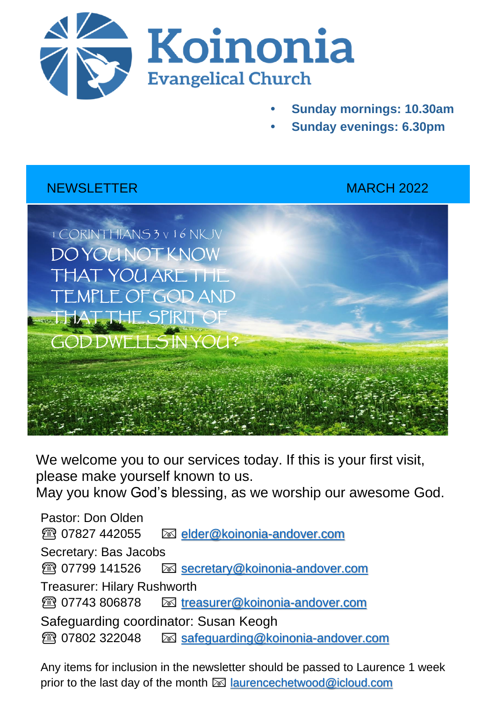

- **• Sunday mornings: 10.30am**
- **• Sunday evenings: 6.30pm**

## NEWSLETTER METHODS AND MARCH 2022



We welcome you to our services today. If this is your first visit, please make yourself known to us.

May you know God's blessing, as we worship our awesome God.

Pastor: Don Olden ☎️ 07827 442055 [elder@koinonia-andover.com](mailto:elder@koinonia-andover.com) Secretary: Bas Jacobs ☎️ 07799 141526 [secretary@koinonia-andover.com](mailto:secretary@koinonia-andover.com) Treasurer: Hilary Rushworth ☎️ 07743 806878 [treasurer@koinonia-andover.com](mailto:treasurer@koinonia-andover.com)  Safeguarding coordinator: Susan Keogh ☎️ 07802 322048 [safeguarding@koinonia-andover.com](mailto:safeguarding@koinonia-andover.com)

Any items for inclusion in the newsletter should be passed to Laurence 1 week prior to the last day of the month  $\boxtimes$  [laurencechetwood@icloud.com](mailto:laurencechetwood@icloud.com)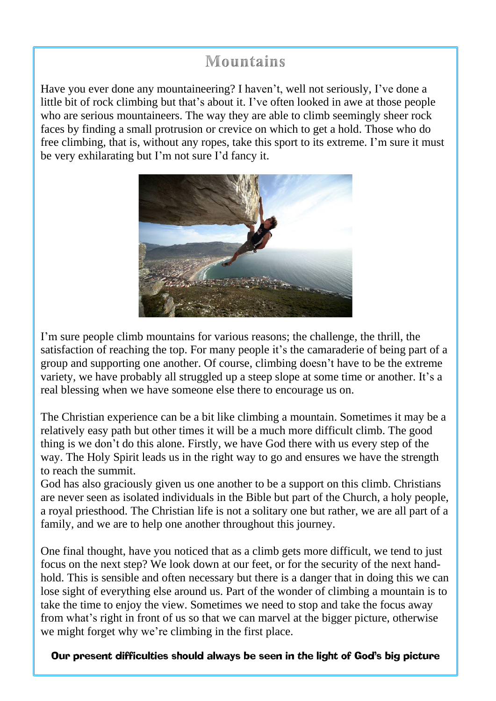# **Mountains**

Have you ever done any mountaineering? I haven't, well not seriously, I've done a little bit of rock climbing but that's about it. I've often looked in awe at those people who are serious mountaineers. The way they are able to climb seemingly sheer rock faces by finding a small protrusion or crevice on which to get a hold. Those who do free climbing, that is, without any ropes, take this sport to its extreme. I'm sure it must be very exhilarating but I'm not sure I'd fancy it.



I'm sure people climb mountains for various reasons; the challenge, the thrill, the satisfaction of reaching the top. For many people it's the camaraderie of being part of a group and supporting one another. Of course, climbing doesn't have to be the extreme variety, we have probably all struggled up a steep slope at some time or another. It's a real blessing when we have someone else there to encourage us on.

The Christian experience can be a bit like climbing a mountain. Sometimes it may be a relatively easy path but other times it will be a much more difficult climb. The good thing is we don't do this alone. Firstly, we have God there with us every step of the way. The Holy Spirit leads us in the right way to go and ensures we have the strength to reach the summit.

God has also graciously given us one another to be a support on this climb. Christians are never seen as isolated individuals in the Bible but part of the Church, a holy people, a royal priesthood. The Christian life is not a solitary one but rather, we are all part of a family, and we are to help one another throughout this journey.

One final thought, have you noticed that as a climb gets more difficult, we tend to just focus on the next step? We look down at our feet, or for the security of the next handhold. This is sensible and often necessary but there is a danger that in doing this we can lose sight of everything else around us. Part of the wonder of climbing a mountain is to take the time to enjoy the view. Sometimes we need to stop and take the focus away from what's right in front of us so that we can marvel at the bigger picture, otherwise we might forget why we're climbing in the first place.

Our present difficulties should always be seen in the light of God's big picture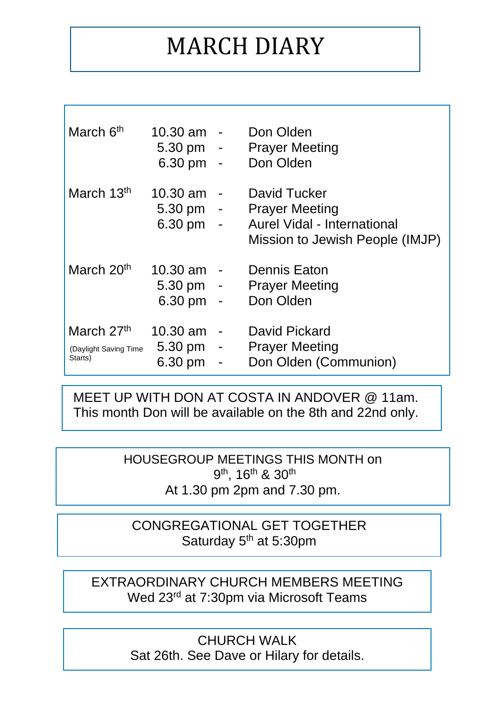# MARCH DIARY

| March 6 <sup>th</sup>                          | $10.30 \text{ am}$<br>$5.30 \,\mathrm{pm}$ -<br>6.30 pm | $\sim$                             | Don Olden<br><b>Prayer Meeting</b><br>Don Olden                                                         |
|------------------------------------------------|---------------------------------------------------------|------------------------------------|---------------------------------------------------------------------------------------------------------|
| March 13 <sup>th</sup>                         | 10.30 am<br>$5.30 \,\mathrm{pm}$ -<br>$6.30 \text{ pm}$ | $\sim$<br>$\overline{\phantom{a}}$ | David Tucker<br><b>Prayer Meeting</b><br>Aurel Vidal - International<br>Mission to Jewish People (IMJP) |
| March 20 <sup>th</sup>                         | $10.30 \text{ am}$<br>$5.30 \,\mathrm{pm}$ -<br>6.30 pm | $\sim$ $-$                         | <b>Dennis Eaton</b><br><b>Prayer Meeting</b><br>Don Olden                                               |
| March 27th<br>(Daylight Saving Time<br>Starts) | $10.30 \text{ am}$<br>$5.30 \,\mathrm{pm}$ -<br>6.30 pm | $\blacksquare$<br>-                | David Pickard<br><b>Prayer Meeting</b><br>Don Olden (Communion)                                         |

 MEET UP WITH DON AT COSTA IN ANDOVER @ 11am. This month Don will be available on the 8th and 22nd only.

> HOUSEGROUP MEETINGS THIS MONTH on 9<sup>th</sup>, 16<sup>th</sup> & 30<sup>th</sup> At 1.30 pm 2pm and 7.30 pm.

CONGREGATIONAL GET TOGETHER Saturday 5<sup>th</sup> at 5:30pm

EXTRAORDINARY CHURCH MEMBERS MEETING Wed 23<sup>rd</sup> at 7:30pm via Microsoft Teams

> CHURCH WALK Sat 26th. See Dave or Hilary for details.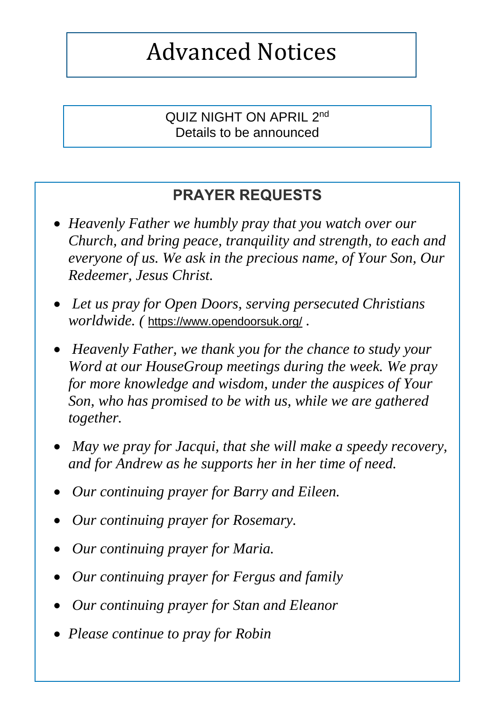# Advanced Notices

QUIZ NIGHT ON APRIL 2<sup>nd</sup> Details to be announced

# **PRAYER REQUESTS**

- *Heavenly Father we humbly pray that you watch over our Church, and bring peace, tranquility and strength, to each and everyone of us. We ask in the precious name, of Your Son, Our Redeemer, Jesus Christ.*
- *Let us pray for Open Doors, serving persecuted Christians worldwide. (* <https://www.opendoorsuk.org/> *.*
- *Heavenly Father, we thank you for the chance to study your Word at our HouseGroup meetings during the week. We pray for more knowledge and wisdom, under the auspices of Your Son, who has promised to be with us, while we are gathered together.*
- *May we pray for Jacqui, that she will make a speedy recovery, and for Andrew as he supports her in her time of need.*
- *Our continuing prayer for Barry and Eileen.*
- *Our continuing prayer for Rosemary.*
- *Our continuing prayer for Maria.*
- *Our continuing prayer for Fergus and family*
- *Our continuing prayer for Stan and Eleanor*
- *Please continue to pray for Robin*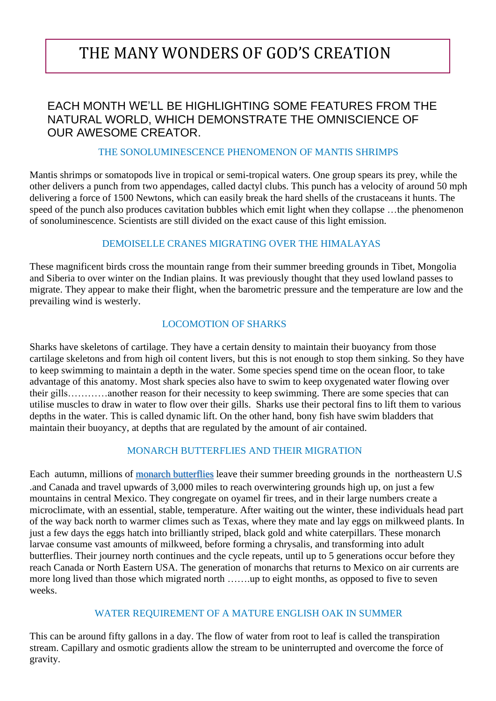# THE MANY WONDERS OF GOD'S CREATION

### FACH MONTH WE'LL BE HIGHLIGHTING SOME FEATURES FROM THE NATURAL WORLD, WHICH DEMONSTRATE THE OMNISCIENCE OF OUR AWESOME CREATOR.

#### THE SONOLUMINESCENCE PHENOMENON OF MANTIS SHRIMPS

Mantis shrimps or somatopods live in tropical or semi-tropical waters. One group spears its prey, while the other delivers a punch from two appendages, called dactyl clubs. This punch has a velocity of around 50 mph delivering a force of 1500 Newtons, which can easily break the hard shells of the crustaceans it hunts. The speed of the punch also produces cavitation bubbles which emit light when they collapse …the phenomenon of sonoluminescence. Scientists are still divided on the exact cause of this light emission.

#### DEMOISELLE CRANES MIGRATING OVER THE HIMALAYAS

These magnificent birds cross the mountain range from their summer breeding grounds in Tibet, Mongolia and Siberia to over winter on the Indian plains. It was previously thought that they used lowland passes to migrate. They appear to make their flight, when the barometric pressure and the temperature are low and the prevailing wind is westerly.

#### LOCOMOTION OF SHARKS

Sharks have skeletons of cartilage. They have a certain density to maintain their buoyancy from those cartilage skeletons and from high oil content livers, but this is not enough to stop them sinking. So they have to keep swimming to maintain a depth in the water. Some species spend time on the ocean floor, to take advantage of this anatomy. Most shark species also have to swim to keep oxygenated water flowing over their gills…………another reason for their necessity to keep swimming. There are some species that can utilise muscles to draw in water to flow over their gills. Sharks use their pectoral fins to lift them to various depths in the water. This is called dynamic lift. On the other hand, bony fish have swim bladders that maintain their buoyancy, at depths that are regulated by the amount of air contained.

#### MONARCH BUTTERFLIES AND THEIR MIGRATION

Each autumn, millions of monarch [butterflies](http://www.nationalgeographic.com/animals/invertebrates/m/monarch-butterfly/) leave their summer breeding grounds in the northeastern U.S .and Canada and travel upwards of 3,000 miles to reach overwintering grounds high up, on just a few mountains in central Mexico. They congregate on oyamel fir trees, and in their large numbers create a microclimate, with an essential, stable, temperature. After waiting out the winter, these individuals head part of the way back north to warmer climes such as Texas, where they mate and lay eggs on milkweed plants. In just a few days the eggs hatch into brilliantly striped, black gold and white caterpillars. These monarch larvae consume vast amounts of milkweed, before forming a chrysalis, and transforming into adult butterflies. Their journey north continues and the cycle repeats, until up to 5 generations occur before they reach Canada or North Eastern USA. The generation of monarchs that returns to Mexico on air currents are more long lived than those which migrated north …….up to eight months, as opposed to five to seven weeks.

#### WATER REQUIREMENT OF A MATURE ENGLISH OAK IN SUMMER

This can be around fifty gallons in a day. The flow of water from root to leaf is called the transpiration stream. Capillary and osmotic gradients allow the stream to be uninterrupted and overcome the force of gravity.